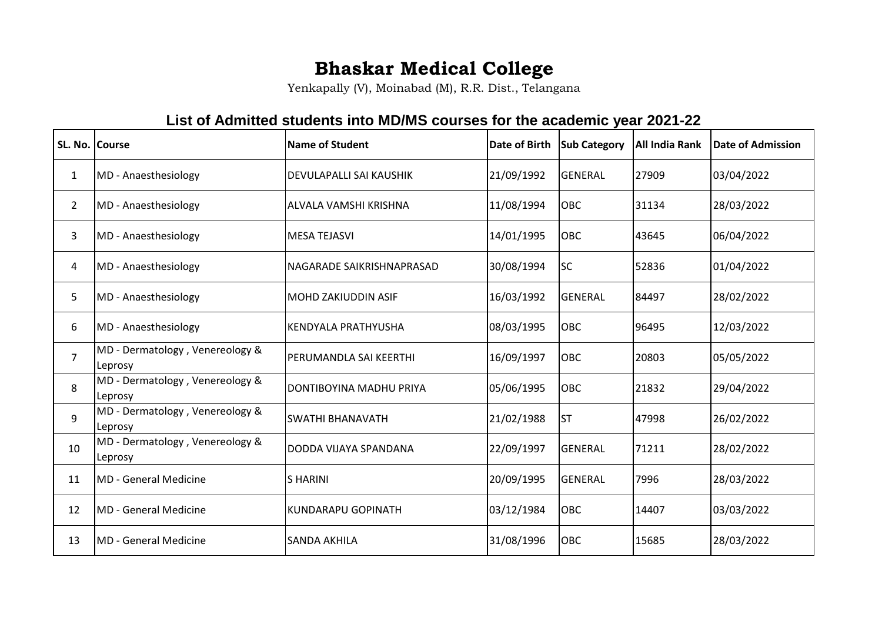## **Bhaskar Medical College**

Yenkapally (V), Moinabad (M), R.R. Dist., Telangana

## **List of Admitted students into MD/MS courses for the academic year 2021-22**

| SL. No. Course |                                            | <b>Name of Student</b>         | <b>Date of Birth</b> | <b>Sub Category</b> | All India Rank | <b>Date of Admission</b> |
|----------------|--------------------------------------------|--------------------------------|----------------------|---------------------|----------------|--------------------------|
| 1              | MD - Anaesthesiology                       | <b>DEVULAPALLI SAI KAUSHIK</b> | 21/09/1992           | <b>GENERAL</b>      | 27909          | 03/04/2022               |
| $\overline{2}$ | MD - Anaesthesiology                       | ALVALA VAMSHI KRISHNA          | 11/08/1994           | OBC                 | 31134          | 28/03/2022               |
| 3              | MD - Anaesthesiology                       | <b>MESA TEJASVI</b>            | 14/01/1995           | OBC                 | 43645          | 06/04/2022               |
| 4              | MD - Anaesthesiology                       | NAGARADE SAIKRISHNAPRASAD      | 30/08/1994           | lsc                 | 52836          | 01/04/2022               |
| 5              | MD - Anaesthesiology                       | MOHD ZAKIUDDIN ASIF            | 16/03/1992           | <b>GENERAL</b>      | 84497          | 28/02/2022               |
| 6              | MD - Anaesthesiology                       | KENDYALA PRATHYUSHA            | 08/03/1995           | OBC                 | 96495          | 12/03/2022               |
| $\overline{7}$ | MD - Dermatology, Venereology &<br>Leprosy | <b>PERUMANDLA SAI KEERTHI</b>  | 16/09/1997           | OBC                 | 20803          | 05/05/2022               |
| 8              | MD - Dermatology, Venereology &<br>Leprosy | DONTIBOYINA MADHU PRIYA        | 05/06/1995           | OBC                 | 21832          | 29/04/2022               |
| 9              | MD - Dermatology, Venereology &<br>Leprosy | <b>SWATHI BHANAVATH</b>        | 21/02/1988           | lst                 | 47998          | 26/02/2022               |
| 10             | MD - Dermatology, Venereology &<br>Leprosy | DODDA VIJAYA SPANDANA          | 22/09/1997           | <b>GENERAL</b>      | 71211          | 28/02/2022               |
| 11             | <b>MD</b> - General Medicine               | <b>SHARINI</b>                 | 20/09/1995           | <b>GENERAL</b>      | 7996           | 28/03/2022               |
| 12             | <b>MD</b> - General Medicine               | <b>KUNDARAPU GOPINATH</b>      | 03/12/1984           | <b>OBC</b>          | 14407          | 03/03/2022               |
| 13             | <b>MD</b> - General Medicine               | <b>SANDA AKHILA</b>            | 31/08/1996           | OBC                 | 15685          | 28/03/2022               |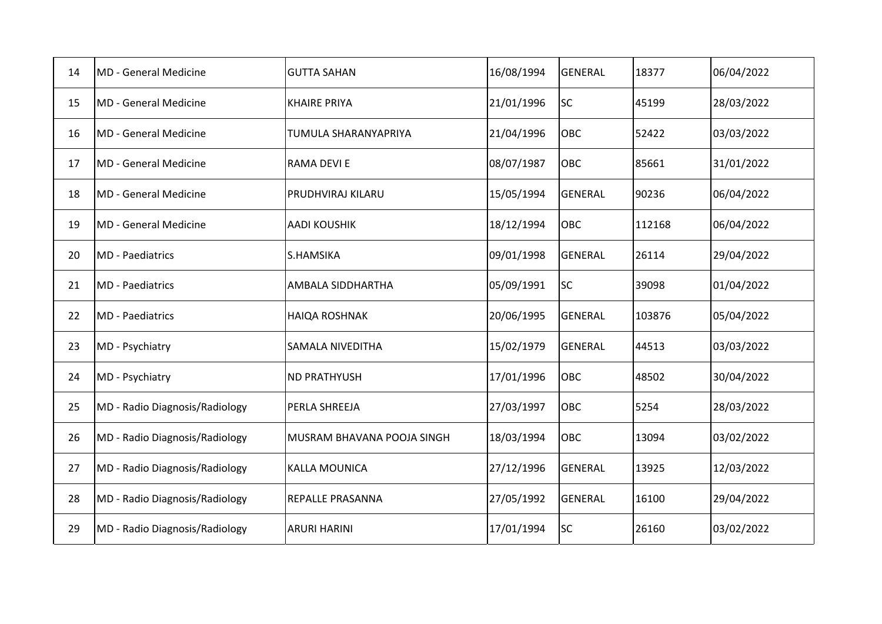| 14 | <b>MD</b> - General Medicine   | <b>GUTTA SAHAN</b>         | 16/08/1994 | <b>GENERAL</b> | 18377  | 06/04/2022 |
|----|--------------------------------|----------------------------|------------|----------------|--------|------------|
| 15 | MD - General Medicine          | <b>KHAIRE PRIYA</b>        | 21/01/1996 | <b>SC</b>      | 45199  | 28/03/2022 |
| 16 | MD - General Medicine          | TUMULA SHARANYAPRIYA       | 21/04/1996 | <b>OBC</b>     | 52422  | 03/03/2022 |
| 17 | <b>MD</b> - General Medicine   | RAMA DEVI E                | 08/07/1987 | OBC            | 85661  | 31/01/2022 |
| 18 | <b>MD</b> - General Medicine   | PRUDHVIRAJ KILARU          | 15/05/1994 | <b>GENERAL</b> | 90236  | 06/04/2022 |
| 19 | <b>MD</b> - General Medicine   | <b>AADI KOUSHIK</b>        | 18/12/1994 | <b>OBC</b>     | 112168 | 06/04/2022 |
| 20 | <b>MD</b> - Paediatrics        | S.HAMSIKA                  | 09/01/1998 | <b>GENERAL</b> | 26114  | 29/04/2022 |
| 21 | <b>MD</b> - Paediatrics        | AMBALA SIDDHARTHA          | 05/09/1991 | <b>SC</b>      | 39098  | 01/04/2022 |
| 22 | <b>MD</b> - Paediatrics        | <b>HAIQA ROSHNAK</b>       | 20/06/1995 | <b>GENERAL</b> | 103876 | 05/04/2022 |
| 23 | MD - Psychiatry                | SAMALA NIVEDITHA           | 15/02/1979 | <b>GENERAL</b> | 44513  | 03/03/2022 |
| 24 | MD - Psychiatry                | <b>ND PRATHYUSH</b>        | 17/01/1996 | <b>OBC</b>     | 48502  | 30/04/2022 |
| 25 | MD - Radio Diagnosis/Radiology | PERLA SHREEJA              | 27/03/1997 | <b>OBC</b>     | 5254   | 28/03/2022 |
| 26 | MD - Radio Diagnosis/Radiology | MUSRAM BHAVANA POOJA SINGH | 18/03/1994 | <b>OBC</b>     | 13094  | 03/02/2022 |
| 27 | MD - Radio Diagnosis/Radiology | <b>KALLA MOUNICA</b>       | 27/12/1996 | <b>GENERAL</b> | 13925  | 12/03/2022 |
| 28 | MD - Radio Diagnosis/Radiology | <b>REPALLE PRASANNA</b>    | 27/05/1992 | <b>GENERAL</b> | 16100  | 29/04/2022 |
| 29 | MD - Radio Diagnosis/Radiology | <b>ARURI HARINI</b>        | 17/01/1994 | <b>SC</b>      | 26160  | 03/02/2022 |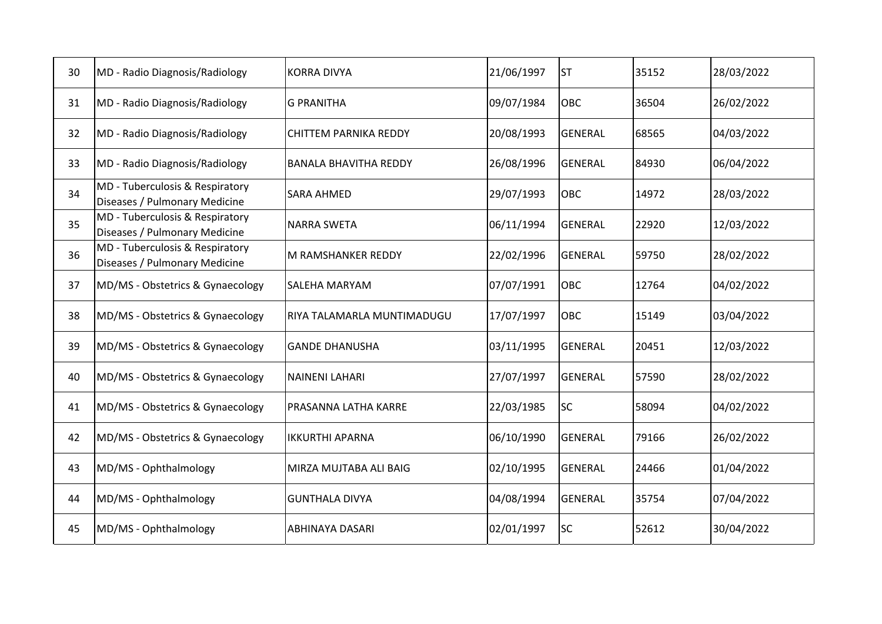| 30 | MD - Radio Diagnosis/Radiology                                   | <b>KORRA DIVYA</b>           | 21/06/1997 | <b>ST</b>      | 35152 | 28/03/2022 |
|----|------------------------------------------------------------------|------------------------------|------------|----------------|-------|------------|
| 31 | MD - Radio Diagnosis/Radiology                                   | <b>G PRANITHA</b>            | 09/07/1984 | <b>OBC</b>     | 36504 | 26/02/2022 |
| 32 | MD - Radio Diagnosis/Radiology                                   | <b>CHITTEM PARNIKA REDDY</b> | 20/08/1993 | <b>GENERAL</b> | 68565 | 04/03/2022 |
| 33 | MD - Radio Diagnosis/Radiology                                   | <b>BANALA BHAVITHA REDDY</b> | 26/08/1996 | <b>GENERAL</b> | 84930 | 06/04/2022 |
| 34 | MD - Tuberculosis & Respiratory<br>Diseases / Pulmonary Medicine | <b>SARA AHMED</b>            | 29/07/1993 | <b>OBC</b>     | 14972 | 28/03/2022 |
| 35 | MD - Tuberculosis & Respiratory<br>Diseases / Pulmonary Medicine | <b>NARRA SWETA</b>           | 06/11/1994 | <b>GENERAL</b> | 22920 | 12/03/2022 |
| 36 | MD - Tuberculosis & Respiratory<br>Diseases / Pulmonary Medicine | M RAMSHANKER REDDY           | 22/02/1996 | <b>GENERAL</b> | 59750 | 28/02/2022 |
| 37 | MD/MS - Obstetrics & Gynaecology                                 | <b>SALEHA MARYAM</b>         | 07/07/1991 | OBC            | 12764 | 04/02/2022 |
| 38 | MD/MS - Obstetrics & Gynaecology                                 | RIYA TALAMARLA MUNTIMADUGU   | 17/07/1997 | <b>OBC</b>     | 15149 | 03/04/2022 |
| 39 | MD/MS - Obstetrics & Gynaecology                                 | <b>GANDE DHANUSHA</b>        | 03/11/1995 | <b>GENERAL</b> | 20451 | 12/03/2022 |
| 40 | MD/MS - Obstetrics & Gynaecology                                 | NAINENI LAHARI               | 27/07/1997 | <b>GENERAL</b> | 57590 | 28/02/2022 |
| 41 | MD/MS - Obstetrics & Gynaecology                                 | <b>PRASANNA LATHA KARRE</b>  | 22/03/1985 | <b>SC</b>      | 58094 | 04/02/2022 |
| 42 | MD/MS - Obstetrics & Gynaecology                                 | <b>IKKURTHI APARNA</b>       | 06/10/1990 | <b>GENERAL</b> | 79166 | 26/02/2022 |
| 43 | MD/MS - Ophthalmology                                            | MIRZA MUJTABA ALI BAIG       | 02/10/1995 | <b>GENERAL</b> | 24466 | 01/04/2022 |
| 44 | MD/MS - Ophthalmology                                            | <b>GUNTHALA DIVYA</b>        | 04/08/1994 | <b>GENERAL</b> | 35754 | 07/04/2022 |
| 45 | MD/MS - Ophthalmology                                            | <b>ABHINAYA DASARI</b>       | 02/01/1997 | <b>SC</b>      | 52612 | 30/04/2022 |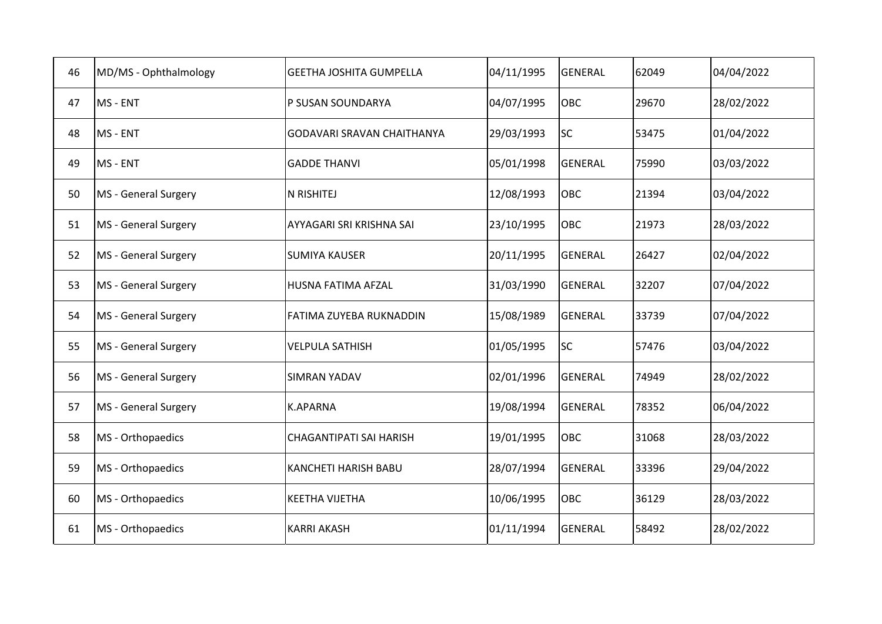| 46 | MD/MS - Ophthalmology | <b>GEETHA JOSHITA GUMPELLA</b>    | 04/11/1995 | <b>GENERAL</b> | 62049 | 04/04/2022 |
|----|-----------------------|-----------------------------------|------------|----------------|-------|------------|
| 47 | MS - ENT              | P SUSAN SOUNDARYA                 | 04/07/1995 | <b>OBC</b>     | 29670 | 28/02/2022 |
| 48 | MS - ENT              | <b>GODAVARI SRAVAN CHAITHANYA</b> | 29/03/1993 | lsc            | 53475 | 01/04/2022 |
| 49 | MS - ENT              | <b>GADDE THANVI</b>               | 05/01/1998 | <b>GENERAL</b> | 75990 | 03/03/2022 |
| 50 | MS - General Surgery  | N RISHITEJ                        | 12/08/1993 | <b>OBC</b>     | 21394 | 03/04/2022 |
| 51 | MS - General Surgery  | AYYAGARI SRI KRISHNA SAI          | 23/10/1995 | <b>OBC</b>     | 21973 | 28/03/2022 |
| 52 | MS - General Surgery  | <b>SUMIYA KAUSER</b>              | 20/11/1995 | <b>GENERAL</b> | 26427 | 02/04/2022 |
| 53 | MS - General Surgery  | HUSNA FATIMA AFZAL                | 31/03/1990 | <b>GENERAL</b> | 32207 | 07/04/2022 |
| 54 | MS - General Surgery  | FATIMA ZUYEBA RUKNADDIN           | 15/08/1989 | <b>GENERAL</b> | 33739 | 07/04/2022 |
| 55 | MS - General Surgery  | <b>VELPULA SATHISH</b>            | 01/05/1995 | <b>SC</b>      | 57476 | 03/04/2022 |
| 56 | MS - General Surgery  | <b>SIMRAN YADAV</b>               | 02/01/1996 | <b>GENERAL</b> | 74949 | 28/02/2022 |
| 57 | MS - General Surgery  | <b>K.APARNA</b>                   | 19/08/1994 | <b>GENERAL</b> | 78352 | 06/04/2022 |
| 58 | MS - Orthopaedics     | <b>CHAGANTIPATI SAI HARISH</b>    | 19/01/1995 | <b>OBC</b>     | 31068 | 28/03/2022 |
| 59 | MS - Orthopaedics     | KANCHETI HARISH BABU              | 28/07/1994 | <b>GENERAL</b> | 33396 | 29/04/2022 |
| 60 | MS - Orthopaedics     | <b>KEETHA VIJETHA</b>             | 10/06/1995 | <b>OBC</b>     | 36129 | 28/03/2022 |
| 61 | MS - Orthopaedics     | <b>KARRI AKASH</b>                | 01/11/1994 | <b>GENERAL</b> | 58492 | 28/02/2022 |